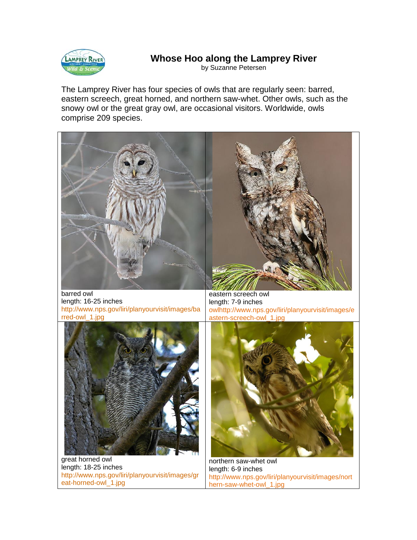

## **Whose Hoo along the Lamprey River**

by Suzanne Petersen

The Lamprey River has four species of owls that are regularly seen: barred, eastern screech, great horned, and northern saw-whet. Other owls, such as the snowy owl or the great gray owl, are occasional visitors. Worldwide, owls comprise 209 species.



length: 16-25 inches [http://www.nps.gov/liri/planyourvisit/images/ba](http://www.nps.gov/liri/planyourvisit/images/barred-owl_1.jpg) [rred-owl\\_1.jpg](http://www.nps.gov/liri/planyourvisit/images/barred-owl_1.jpg)

length: 7-9 inches owlhttp://www.nps.gov/liri/planyourvisit/images/e astern-screech-owl\_1.jpg



great horned owl length: 18-25 inches [http://www.nps.gov/liri/planyourvisit/images/gr](http://www.nps.gov/liri/planyourvisit/images/great-horned-owl_1.jpg) [eat-horned-owl\\_1.jpg](http://www.nps.gov/liri/planyourvisit/images/great-horned-owl_1.jpg)



northern saw-whet owl length: 6-9 inches http://www.nps.gov/liri/planyourvisit/images/nort hern-saw-whet-owl 1.jpg